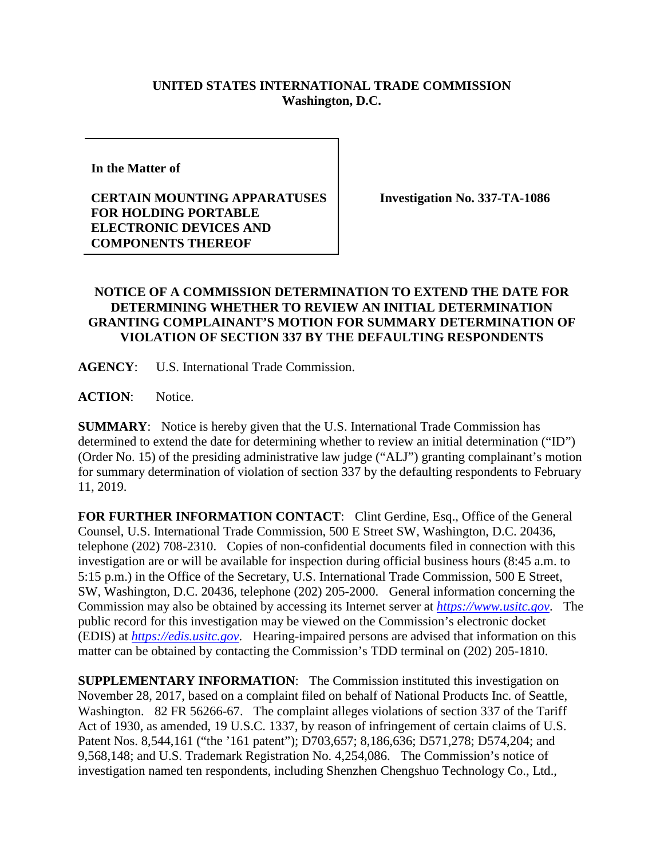## **UNITED STATES INTERNATIONAL TRADE COMMISSION Washington, D.C.**

**In the Matter of** 

## **CERTAIN MOUNTING APPARATUSES FOR HOLDING PORTABLE ELECTRONIC DEVICES AND COMPONENTS THEREOF**

**Investigation No. 337-TA-1086**

## **NOTICE OF A COMMISSION DETERMINATION TO EXTEND THE DATE FOR DETERMINING WHETHER TO REVIEW AN INITIAL DETERMINATION GRANTING COMPLAINANT'S MOTION FOR SUMMARY DETERMINATION OF VIOLATION OF SECTION 337 BY THE DEFAULTING RESPONDENTS**

**AGENCY**: U.S. International Trade Commission.

**ACTION**: Notice.

**SUMMARY**: Notice is hereby given that the U.S. International Trade Commission has determined to extend the date for determining whether to review an initial determination ("ID") (Order No. 15) of the presiding administrative law judge ("ALJ") granting complainant's motion for summary determination of violation of section 337 by the defaulting respondents to February 11, 2019.

FOR FURTHER INFORMATION CONTACT: Clint Gerdine, Esq., Office of the General Counsel, U.S. International Trade Commission, 500 E Street SW, Washington, D.C. 20436, telephone (202) 708-2310. Copies of non-confidential documents filed in connection with this investigation are or will be available for inspection during official business hours (8:45 a.m. to 5:15 p.m.) in the Office of the Secretary, U.S. International Trade Commission, 500 E Street, SW, Washington, D.C. 20436, telephone (202) 205-2000. General information concerning the Commission may also be obtained by accessing its Internet server at *[https://www.usitc.gov](https://www.usitc.gov/)*. The public record for this investigation may be viewed on the Commission's electronic docket (EDIS) at *[https://edis.usitc.gov](https://edis.usitc.gov/)*. Hearing-impaired persons are advised that information on this matter can be obtained by contacting the Commission's TDD terminal on (202) 205-1810.

**SUPPLEMENTARY INFORMATION:** The Commission instituted this investigation on November 28, 2017, based on a complaint filed on behalf of National Products Inc. of Seattle, Washington. 82 FR 56266-67. The complaint alleges violations of section 337 of the Tariff Act of 1930, as amended, 19 U.S.C. 1337, by reason of infringement of certain claims of U.S. Patent Nos. 8,544,161 ("the '161 patent"); D703,657; 8,186,636; D571,278; D574,204; and 9,568,148; and U.S. Trademark Registration No. 4,254,086. The Commission's notice of investigation named ten respondents, including Shenzhen Chengshuo Technology Co., Ltd.,